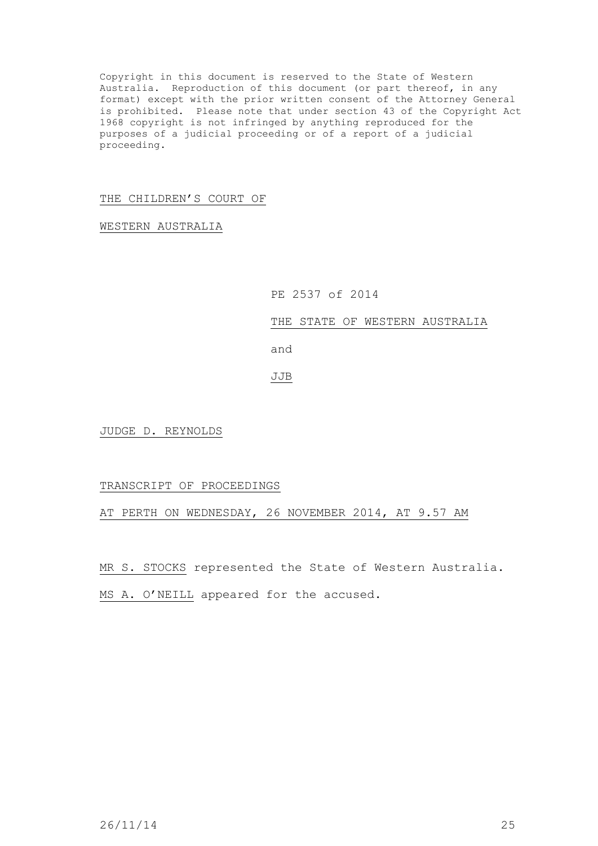Copyright in this document is reserved to the State of Western Australia. Reproduction of this document (or part thereof, in any format) except with the prior written consent of the Attorney General is prohibited. Please note that under section 43 of the Copyright Act 1968 copyright is not infringed by anything reproduced for the purposes of a judicial proceeding or of a report of a judicial proceeding.

## THE CHILDREN'S COURT OF

WESTERN AUSTRALIA

## PE 2537 of 2014

## THE STATE OF WESTERN AUSTRALIA

and

# JJB

JUDGE D. REYNOLDS

### TRANSCRIPT OF PROCEEDINGS

AT PERTH ON WEDNESDAY, 26 NOVEMBER 2014, AT 9.57 AM

MR S. STOCKS represented the State of Western Australia.

MS A. O'NEILL appeared for the accused.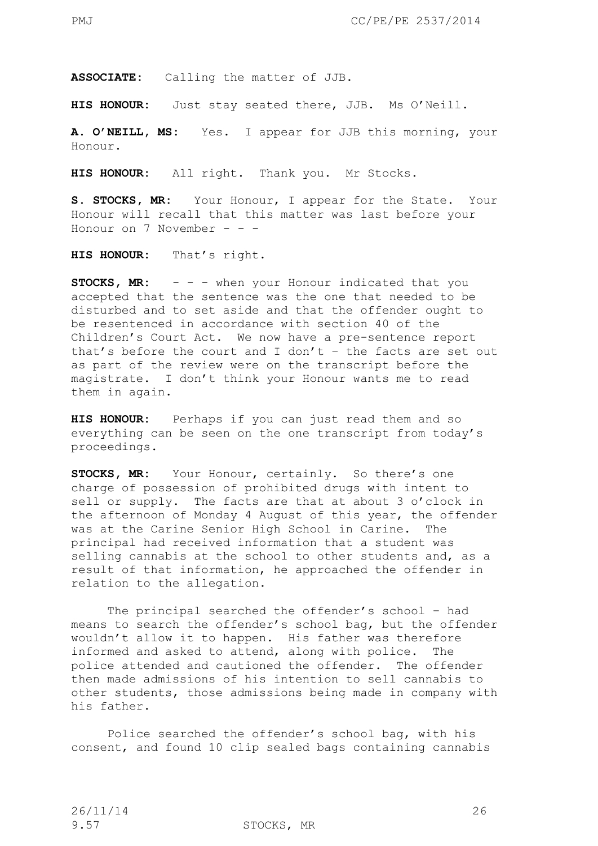**ASSOCIATE:** Calling the matter of JJB.

**HIS HONOUR:** Just stay seated there, JJB. Ms O'Neill.

**A. O'NEILL, MS:** Yes. I appear for JJB this morning, your Honour.

**HIS HONOUR:** All right. Thank you. Mr Stocks.

**S. STOCKS, MR:** Your Honour, I appear for the State. Your Honour will recall that this matter was last before your Honour on 7 November - - -

**HIS HONOUR:** That's right.

**STOCKS, MR:**  $-$  -  $-$  when your Honour indicated that you accepted that the sentence was the one that needed to be disturbed and to set aside and that the offender ought to be resentenced in accordance with section 40 of the Children's Court Act. We now have a pre-sentence report that's before the court and I don't – the facts are set out as part of the review were on the transcript before the magistrate. I don't think your Honour wants me to read them in again.

**HIS HONOUR:** Perhaps if you can just read them and so everything can be seen on the one transcript from today's proceedings.

**STOCKS, MR:** Your Honour, certainly. So there's one charge of possession of prohibited drugs with intent to sell or supply. The facts are that at about 3 o'clock in the afternoon of Monday 4 August of this year, the offender was at the Carine Senior High School in Carine. The principal had received information that a student was selling cannabis at the school to other students and, as a result of that information, he approached the offender in relation to the allegation.

The principal searched the offender's school – had means to search the offender's school bag, but the offender wouldn't allow it to happen. His father was therefore informed and asked to attend, along with police. The police attended and cautioned the offender. The offender then made admissions of his intention to sell cannabis to other students, those admissions being made in company with his father.

Police searched the offender's school bag, with his consent, and found 10 clip sealed bags containing cannabis

9.57 STOCKS, MR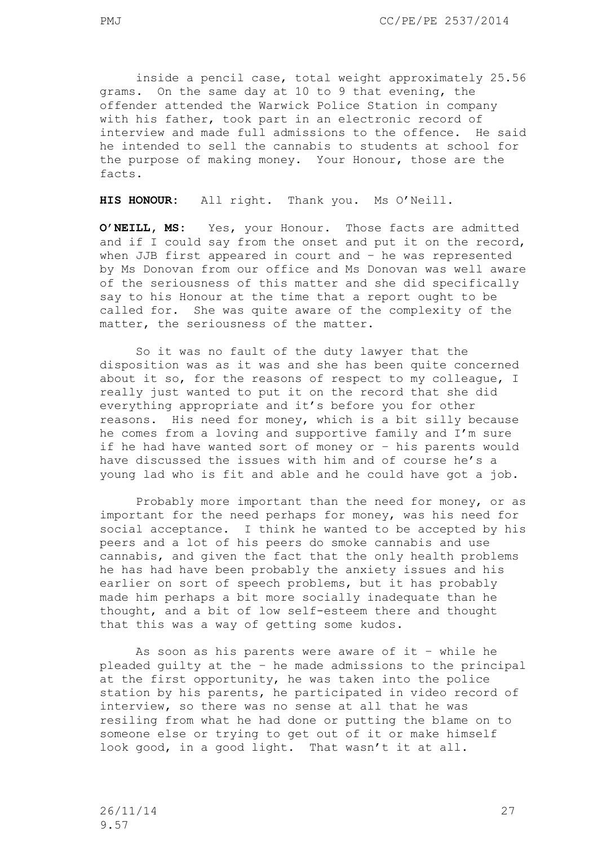inside a pencil case, total weight approximately 25.56 grams. On the same day at 10 to 9 that evening, the offender attended the Warwick Police Station in company with his father, took part in an electronic record of interview and made full admissions to the offence. He said he intended to sell the cannabis to students at school for the purpose of making money. Your Honour, those are the facts.

**HIS HONOUR:** All right. Thank you. Ms O'Neill.

**O'NEILL, MS:** Yes, your Honour. Those facts are admitted and if I could say from the onset and put it on the record, when JJB first appeared in court and – he was represented by Ms Donovan from our office and Ms Donovan was well aware of the seriousness of this matter and she did specifically say to his Honour at the time that a report ought to be called for. She was quite aware of the complexity of the matter, the seriousness of the matter.

So it was no fault of the duty lawyer that the disposition was as it was and she has been quite concerned about it so, for the reasons of respect to my colleague, I really just wanted to put it on the record that she did everything appropriate and it's before you for other reasons. His need for money, which is a bit silly because he comes from a loving and supportive family and I'm sure if he had have wanted sort of money or – his parents would have discussed the issues with him and of course he's a young lad who is fit and able and he could have got a job.

Probably more important than the need for money, or as important for the need perhaps for money, was his need for social acceptance. I think he wanted to be accepted by his peers and a lot of his peers do smoke cannabis and use cannabis, and given the fact that the only health problems he has had have been probably the anxiety issues and his earlier on sort of speech problems, but it has probably made him perhaps a bit more socially inadequate than he thought, and a bit of low self-esteem there and thought that this was a way of getting some kudos.

As soon as his parents were aware of it – while he pleaded guilty at the – he made admissions to the principal at the first opportunity, he was taken into the police station by his parents, he participated in video record of interview, so there was no sense at all that he was resiling from what he had done or putting the blame on to someone else or trying to get out of it or make himself look good, in a good light. That wasn't it at all.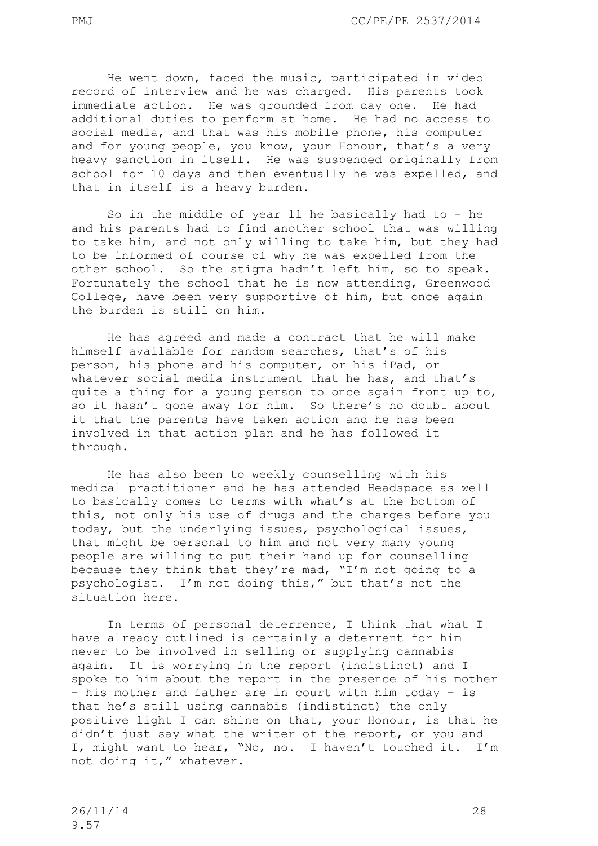He went down, faced the music, participated in video record of interview and he was charged. His parents took immediate action. He was grounded from day one. He had additional duties to perform at home. He had no access to social media, and that was his mobile phone, his computer and for young people, you know, your Honour, that's a very heavy sanction in itself. He was suspended originally from school for 10 days and then eventually he was expelled, and that in itself is a heavy burden.

So in the middle of year 11 he basically had to – he and his parents had to find another school that was willing to take him, and not only willing to take him, but they had to be informed of course of why he was expelled from the other school. So the stigma hadn't left him, so to speak. Fortunately the school that he is now attending, Greenwood College, have been very supportive of him, but once again the burden is still on him.

He has agreed and made a contract that he will make himself available for random searches, that's of his person, his phone and his computer, or his iPad, or whatever social media instrument that he has, and that's quite a thing for a young person to once again front up to, so it hasn't gone away for him. So there's no doubt about it that the parents have taken action and he has been involved in that action plan and he has followed it through.

He has also been to weekly counselling with his medical practitioner and he has attended Headspace as well to basically comes to terms with what's at the bottom of this, not only his use of drugs and the charges before you today, but the underlying issues, psychological issues, that might be personal to him and not very many young people are willing to put their hand up for counselling because they think that they're mad, "I'm not going to a psychologist. I'm not doing this," but that's not the situation here.

In terms of personal deterrence, I think that what I have already outlined is certainly a deterrent for him never to be involved in selling or supplying cannabis again. It is worrying in the report (indistinct) and I spoke to him about the report in the presence of his mother – his mother and father are in court with him today – is that he's still using cannabis (indistinct) the only positive light I can shine on that, your Honour, is that he didn't just say what the writer of the report, or you and I, might want to hear, "No, no. I haven't touched it. I'm not doing it," whatever.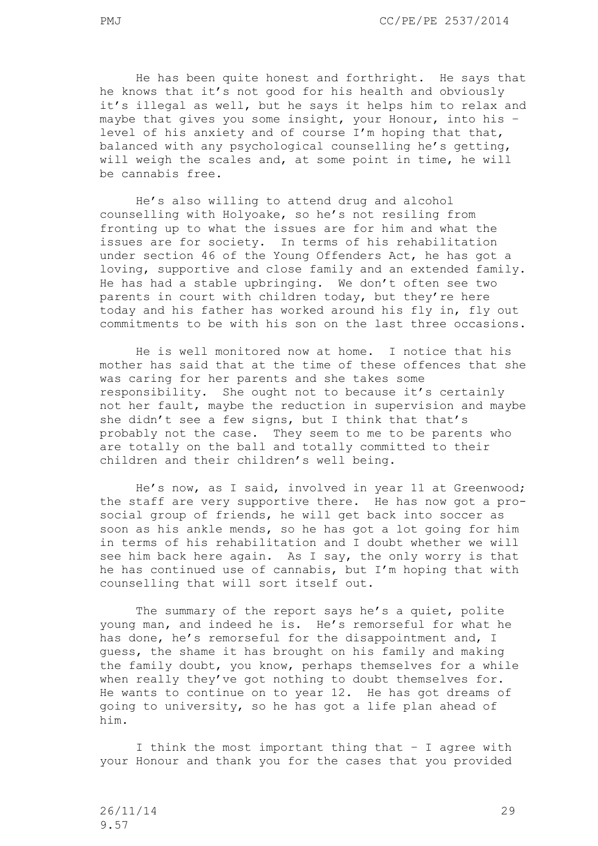He has been quite honest and forthright. He says that he knows that it's not good for his health and obviously it's illegal as well, but he says it helps him to relax and maybe that gives you some insight, your Honour, into his – level of his anxiety and of course I'm hoping that that, balanced with any psychological counselling he's getting, will weigh the scales and, at some point in time, he will be cannabis free.

He's also willing to attend drug and alcohol counselling with Holyoake, so he's not resiling from fronting up to what the issues are for him and what the issues are for society. In terms of his rehabilitation under section 46 of the Young Offenders Act, he has got a loving, supportive and close family and an extended family. He has had a stable upbringing. We don't often see two parents in court with children today, but they're here today and his father has worked around his fly in, fly out commitments to be with his son on the last three occasions.

He is well monitored now at home. I notice that his mother has said that at the time of these offences that she was caring for her parents and she takes some responsibility. She ought not to because it's certainly not her fault, maybe the reduction in supervision and maybe she didn't see a few signs, but I think that that's probably not the case. They seem to me to be parents who are totally on the ball and totally committed to their children and their children's well being.

He's now, as I said, involved in year 11 at Greenwood; the staff are very supportive there. He has now got a prosocial group of friends, he will get back into soccer as soon as his ankle mends, so he has got a lot going for him in terms of his rehabilitation and I doubt whether we will see him back here again. As I say, the only worry is that he has continued use of cannabis, but I'm hoping that with counselling that will sort itself out.

The summary of the report says he's a quiet, polite young man, and indeed he is. He's remorseful for what he has done, he's remorseful for the disappointment and, I guess, the shame it has brought on his family and making the family doubt, you know, perhaps themselves for a while when really they've got nothing to doubt themselves for. He wants to continue on to year 12. He has got dreams of going to university, so he has got a life plan ahead of him.

I think the most important thing that – I agree with your Honour and thank you for the cases that you provided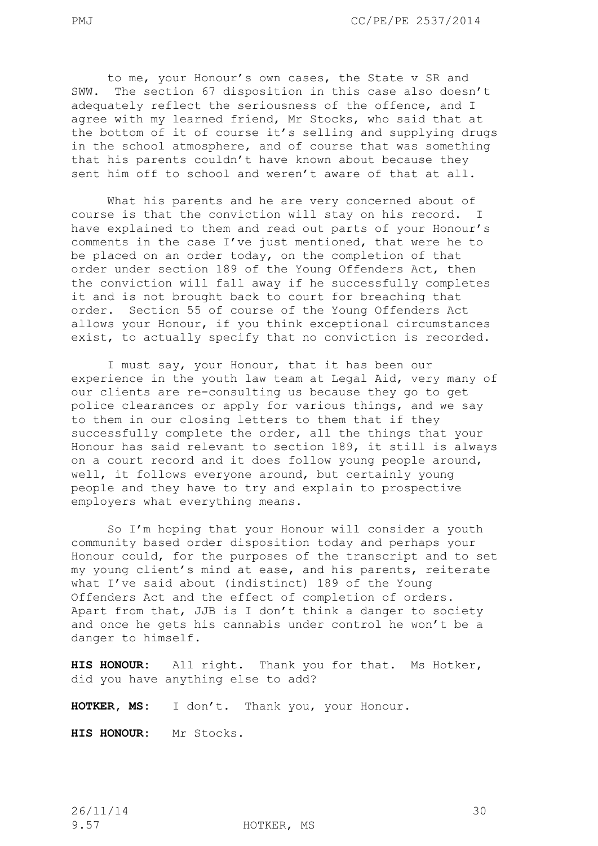to me, your Honour's own cases, the State v SR and SWW. The section 67 disposition in this case also doesn't adequately reflect the seriousness of the offence, and I agree with my learned friend, Mr Stocks, who said that at the bottom of it of course it's selling and supplying drugs in the school atmosphere, and of course that was something that his parents couldn't have known about because they sent him off to school and weren't aware of that at all.

What his parents and he are very concerned about of course is that the conviction will stay on his record. I have explained to them and read out parts of your Honour's comments in the case I've just mentioned, that were he to be placed on an order today, on the completion of that order under section 189 of the Young Offenders Act, then the conviction will fall away if he successfully completes it and is not brought back to court for breaching that order. Section 55 of course of the Young Offenders Act allows your Honour, if you think exceptional circumstances exist, to actually specify that no conviction is recorded.

I must say, your Honour, that it has been our experience in the youth law team at Legal Aid, very many of our clients are re-consulting us because they go to get police clearances or apply for various things, and we say to them in our closing letters to them that if they successfully complete the order, all the things that your Honour has said relevant to section 189, it still is always on a court record and it does follow young people around, well, it follows everyone around, but certainly young people and they have to try and explain to prospective employers what everything means.

So I'm hoping that your Honour will consider a youth community based order disposition today and perhaps your Honour could, for the purposes of the transcript and to set my young client's mind at ease, and his parents, reiterate what I've said about (indistinct) 189 of the Young Offenders Act and the effect of completion of orders. Apart from that, JJB is I don't think a danger to society and once he gets his cannabis under control he won't be a danger to himself.

**HIS HONOUR:** All right. Thank you for that. Ms Hotker, did you have anything else to add?

**HOTKER, MS:** I don't. Thank you, your Honour.

**HIS HONOUR:** Mr Stocks.

9.57 HOTKER, MS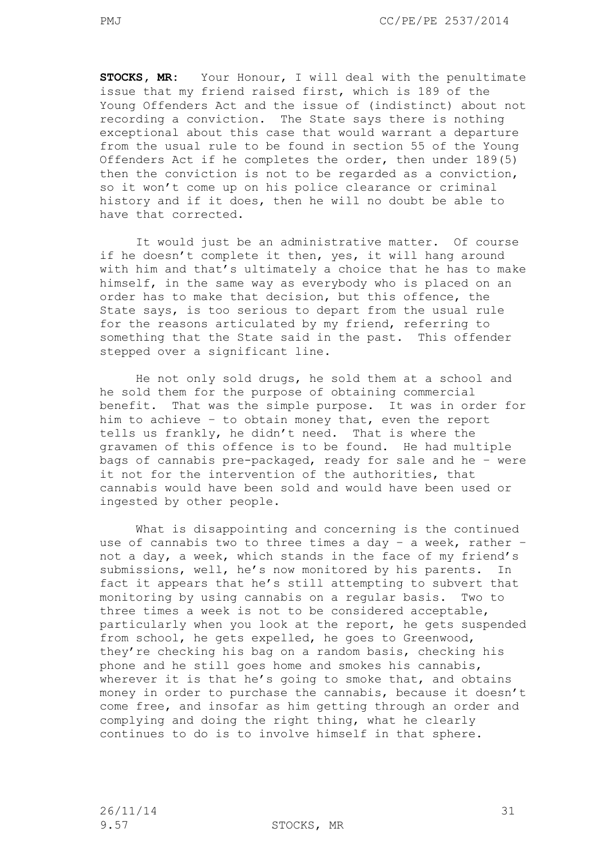**STOCKS, MR:** Your Honour, I will deal with the penultimate issue that my friend raised first, which is 189 of the Young Offenders Act and the issue of (indistinct) about not recording a conviction. The State says there is nothing exceptional about this case that would warrant a departure from the usual rule to be found in section 55 of the Young Offenders Act if he completes the order, then under 189(5) then the conviction is not to be regarded as a conviction, so it won't come up on his police clearance or criminal history and if it does, then he will no doubt be able to have that corrected.

It would just be an administrative matter. Of course if he doesn't complete it then, yes, it will hang around with him and that's ultimately a choice that he has to make himself, in the same way as everybody who is placed on an order has to make that decision, but this offence, the State says, is too serious to depart from the usual rule for the reasons articulated by my friend, referring to something that the State said in the past. This offender stepped over a significant line.

He not only sold drugs, he sold them at a school and he sold them for the purpose of obtaining commercial benefit. That was the simple purpose. It was in order for him to achieve – to obtain money that, even the report tells us frankly, he didn't need. That is where the gravamen of this offence is to be found. He had multiple bags of cannabis pre-packaged, ready for sale and he – were it not for the intervention of the authorities, that cannabis would have been sold and would have been used or ingested by other people.

What is disappointing and concerning is the continued use of cannabis two to three times a day – a week, rather – not a day, a week, which stands in the face of my friend's submissions, well, he's now monitored by his parents. In fact it appears that he's still attempting to subvert that monitoring by using cannabis on a regular basis. Two to three times a week is not to be considered acceptable, particularly when you look at the report, he gets suspended from school, he gets expelled, he goes to Greenwood, they're checking his bag on a random basis, checking his phone and he still goes home and smokes his cannabis, wherever it is that he's going to smoke that, and obtains money in order to purchase the cannabis, because it doesn't come free, and insofar as him getting through an order and complying and doing the right thing, what he clearly continues to do is to involve himself in that sphere.

9.57 STOCKS, MR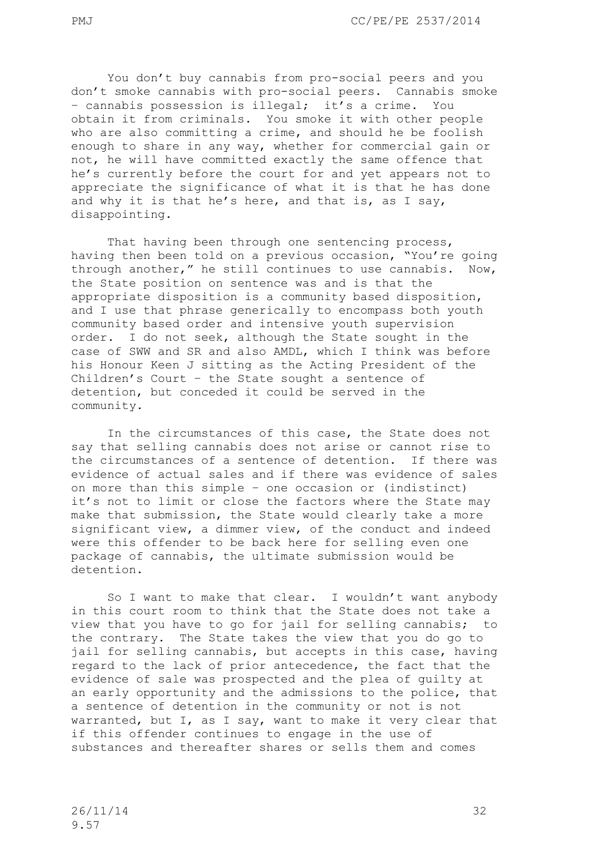You don't buy cannabis from pro-social peers and you don't smoke cannabis with pro-social peers. Cannabis smoke – cannabis possession is illegal; it's a crime. You obtain it from criminals. You smoke it with other people who are also committing a crime, and should he be foolish enough to share in any way, whether for commercial gain or not, he will have committed exactly the same offence that he's currently before the court for and yet appears not to appreciate the significance of what it is that he has done and why it is that he's here, and that is, as I say, disappointing.

That having been through one sentencing process, having then been told on a previous occasion, "You're going through another," he still continues to use cannabis. Now, the State position on sentence was and is that the appropriate disposition is a community based disposition, and I use that phrase generically to encompass both youth community based order and intensive youth supervision order. I do not seek, although the State sought in the case of SWW and SR and also AMDL, which I think was before his Honour Keen J sitting as the Acting President of the Children's Court – the State sought a sentence of detention, but conceded it could be served in the community.

In the circumstances of this case, the State does not say that selling cannabis does not arise or cannot rise to the circumstances of a sentence of detention. If there was evidence of actual sales and if there was evidence of sales on more than this simple – one occasion or (indistinct) it's not to limit or close the factors where the State may make that submission, the State would clearly take a more significant view, a dimmer view, of the conduct and indeed were this offender to be back here for selling even one package of cannabis, the ultimate submission would be detention.

So I want to make that clear. I wouldn't want anybody in this court room to think that the State does not take a view that you have to go for jail for selling cannabis; to the contrary. The State takes the view that you do go to jail for selling cannabis, but accepts in this case, having regard to the lack of prior antecedence, the fact that the evidence of sale was prospected and the plea of guilty at an early opportunity and the admissions to the police, that a sentence of detention in the community or not is not warranted, but I, as I say, want to make it very clear that if this offender continues to engage in the use of substances and thereafter shares or sells them and comes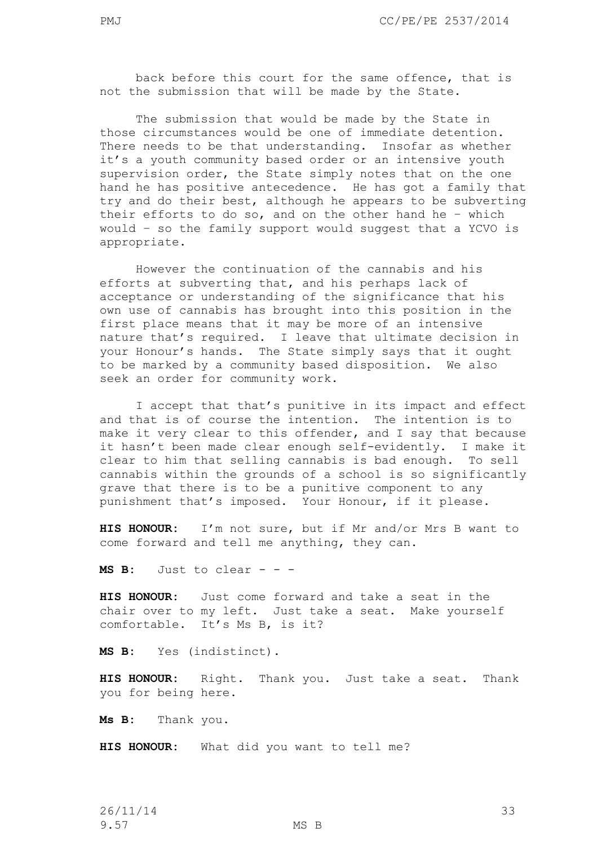back before this court for the same offence, that is not the submission that will be made by the State.

The submission that would be made by the State in those circumstances would be one of immediate detention. There needs to be that understanding. Insofar as whether it's a youth community based order or an intensive youth supervision order, the State simply notes that on the one hand he has positive antecedence. He has got a family that try and do their best, although he appears to be subverting their efforts to do so, and on the other hand he – which would – so the family support would suggest that a YCVO is appropriate.

However the continuation of the cannabis and his efforts at subverting that, and his perhaps lack of acceptance or understanding of the significance that his own use of cannabis has brought into this position in the first place means that it may be more of an intensive nature that's required. I leave that ultimate decision in your Honour's hands. The State simply says that it ought to be marked by a community based disposition. We also seek an order for community work.

I accept that that's punitive in its impact and effect and that is of course the intention. The intention is to make it very clear to this offender, and I say that because it hasn't been made clear enough self-evidently. I make it clear to him that selling cannabis is bad enough. To sell cannabis within the grounds of a school is so significantly grave that there is to be a punitive component to any punishment that's imposed. Your Honour, if it please.

**HIS HONOUR:** I'm not sure, but if Mr and/or Mrs B want to come forward and tell me anything, they can.

**MS B:** Just to clear - - -

**HIS HONOUR:** Just come forward and take a seat in the chair over to my left. Just take a seat. Make yourself comfortable. It's Ms B, is it?

**MS B:** Yes (indistinct).

**HIS HONOUR:** Right. Thank you. Just take a seat. Thank you for being here.

**Ms B:** Thank you.

**HIS HONOUR:** What did you want to tell me?

26/11/14 33 9.57 MS B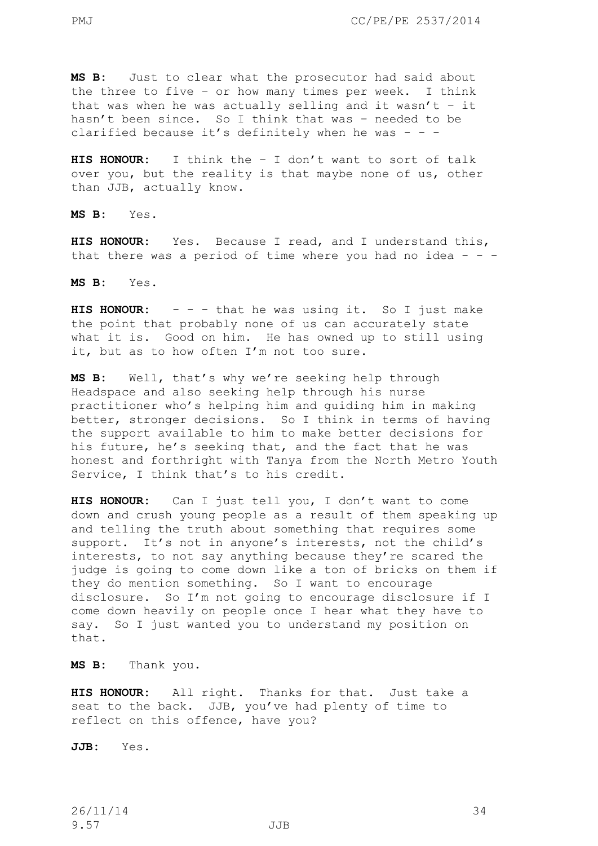**MS B:** Just to clear what the prosecutor had said about the three to five – or how many times per week. I think that was when he was actually selling and it wasn't  $-$  it hasn't been since. So I think that was – needed to be clarified because it's definitely when he was - - -

**HIS HONOUR:** I think the – I don't want to sort of talk over you, but the reality is that maybe none of us, other than JJB, actually know.

**MS B:** Yes.

**HIS HONOUR:** Yes. Because I read, and I understand this, that there was a period of time where you had no idea  $- -$ 

**MS B:** Yes.

**HIS HONOUR:** - - - that he was using it. So I just make the point that probably none of us can accurately state what it is. Good on him. He has owned up to still using it, but as to how often I'm not too sure.

**MS B:** Well, that's why we're seeking help through Headspace and also seeking help through his nurse practitioner who's helping him and guiding him in making better, stronger decisions. So I think in terms of having the support available to him to make better decisions for his future, he's seeking that, and the fact that he was honest and forthright with Tanya from the North Metro Youth Service, I think that's to his credit.

**HIS HONOUR:** Can I just tell you, I don't want to come down and crush young people as a result of them speaking up and telling the truth about something that requires some support. It's not in anyone's interests, not the child's interests, to not say anything because they're scared the judge is going to come down like a ton of bricks on them if they do mention something. So I want to encourage disclosure. So I'm not going to encourage disclosure if I come down heavily on people once I hear what they have to say. So I just wanted you to understand my position on that.

**MS B:** Thank you.

**HIS HONOUR:** All right. Thanks for that. Just take a seat to the back. JJB, you've had plenty of time to reflect on this offence, have you?

**JJB:** Yes.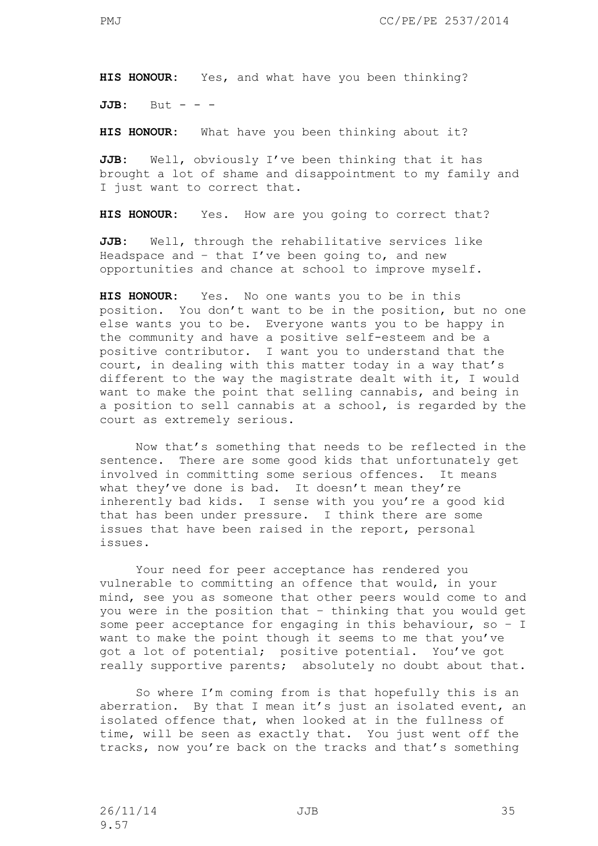**HIS HONOUR:** Yes, and what have you been thinking?

**JJB:** But - - -

**HIS HONOUR:** What have you been thinking about it?

**JJB:** Well, obviously I've been thinking that it has brought a lot of shame and disappointment to my family and I just want to correct that.

**HIS HONOUR:** Yes. How are you going to correct that?

**JJB:** Well, through the rehabilitative services like Headspace and  $-$  that I've been going to, and new opportunities and chance at school to improve myself.

**HIS HONOUR:** Yes. No one wants you to be in this position. You don't want to be in the position, but no one else wants you to be. Everyone wants you to be happy in the community and have a positive self-esteem and be a positive contributor. I want you to understand that the court, in dealing with this matter today in a way that's different to the way the magistrate dealt with it, I would want to make the point that selling cannabis, and being in a position to sell cannabis at a school, is regarded by the court as extremely serious.

Now that's something that needs to be reflected in the sentence. There are some good kids that unfortunately get involved in committing some serious offences. It means what they've done is bad. It doesn't mean they're inherently bad kids. I sense with you you're a good kid that has been under pressure. I think there are some issues that have been raised in the report, personal issues.

Your need for peer acceptance has rendered you vulnerable to committing an offence that would, in your mind, see you as someone that other peers would come to and you were in the position that – thinking that you would get some peer acceptance for engaging in this behaviour, so – I want to make the point though it seems to me that you've got a lot of potential; positive potential. You've got really supportive parents; absolutely no doubt about that.

So where I'm coming from is that hopefully this is an aberration. By that I mean it's just an isolated event, an isolated offence that, when looked at in the fullness of time, will be seen as exactly that. You just went off the tracks, now you're back on the tracks and that's something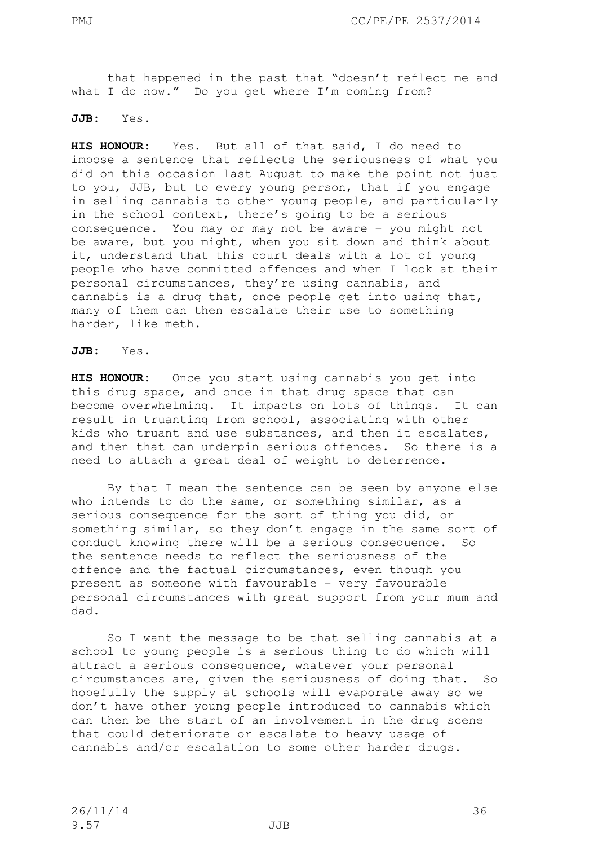that happened in the past that "doesn't reflect me and what I do now." Do you get where I'm coming from?

## **JJB:** Yes.

**HIS HONOUR:** Yes. But all of that said, I do need to impose a sentence that reflects the seriousness of what you did on this occasion last August to make the point not just to you, JJB, but to every young person, that if you engage in selling cannabis to other young people, and particularly in the school context, there's going to be a serious consequence. You may or may not be aware – you might not be aware, but you might, when you sit down and think about it, understand that this court deals with a lot of young people who have committed offences and when I look at their personal circumstances, they're using cannabis, and cannabis is a drug that, once people get into using that, many of them can then escalate their use to something harder, like meth.

## **JJB:** Yes.

**HIS HONOUR:** Once you start using cannabis you get into this drug space, and once in that drug space that can become overwhelming. It impacts on lots of things. It can result in truanting from school, associating with other kids who truant and use substances, and then it escalates, and then that can underpin serious offences. So there is a need to attach a great deal of weight to deterrence.

By that I mean the sentence can be seen by anyone else who intends to do the same, or something similar, as a serious consequence for the sort of thing you did, or something similar, so they don't engage in the same sort of conduct knowing there will be a serious consequence. So the sentence needs to reflect the seriousness of the offence and the factual circumstances, even though you present as someone with favourable – very favourable personal circumstances with great support from your mum and dad.

So I want the message to be that selling cannabis at a school to young people is a serious thing to do which will attract a serious consequence, whatever your personal circumstances are, given the seriousness of doing that. So hopefully the supply at schools will evaporate away so we don't have other young people introduced to cannabis which can then be the start of an involvement in the drug scene that could deteriorate or escalate to heavy usage of cannabis and/or escalation to some other harder drugs.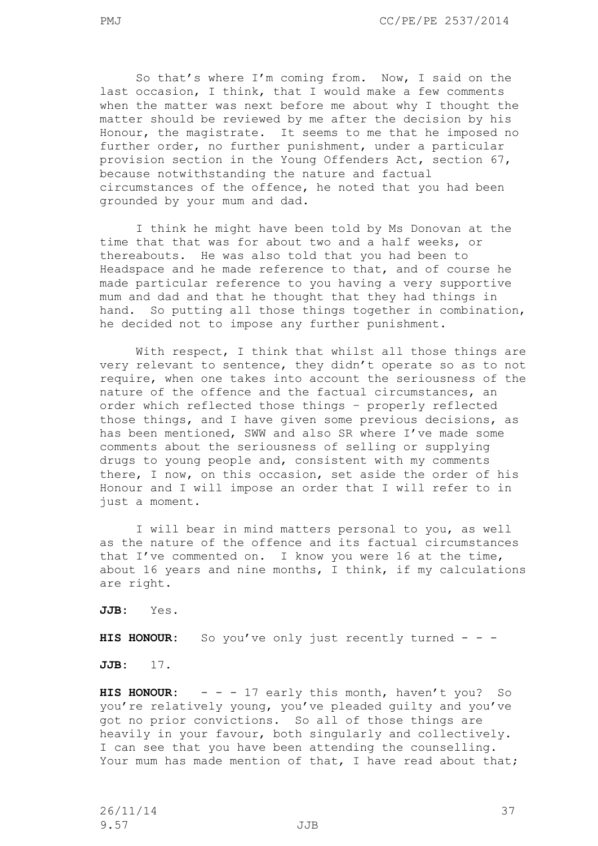So that's where I'm coming from. Now, I said on the last occasion, I think, that I would make a few comments when the matter was next before me about why I thought the matter should be reviewed by me after the decision by his Honour, the magistrate. It seems to me that he imposed no further order, no further punishment, under a particular provision section in the Young Offenders Act, section 67, because notwithstanding the nature and factual circumstances of the offence, he noted that you had been grounded by your mum and dad.

I think he might have been told by Ms Donovan at the time that that was for about two and a half weeks, or thereabouts. He was also told that you had been to Headspace and he made reference to that, and of course he made particular reference to you having a very supportive mum and dad and that he thought that they had things in hand. So putting all those things together in combination, he decided not to impose any further punishment.

With respect, I think that whilst all those things are very relevant to sentence, they didn't operate so as to not require, when one takes into account the seriousness of the nature of the offence and the factual circumstances, an order which reflected those things – properly reflected those things, and I have given some previous decisions, as has been mentioned, SWW and also SR where I've made some comments about the seriousness of selling or supplying drugs to young people and, consistent with my comments there, I now, on this occasion, set aside the order of his Honour and I will impose an order that I will refer to in just a moment.

I will bear in mind matters personal to you, as well as the nature of the offence and its factual circumstances that I've commented on. I know you were 16 at the time, about 16 years and nine months, I think, if my calculations are right.

**JJB:** Yes.

**HIS HONOUR:** So you've only just recently turned - - -

**JJB:** 17.

**HIS HONOUR:** - - - 17 early this month, haven't you? So you're relatively young, you've pleaded guilty and you've got no prior convictions. So all of those things are heavily in your favour, both singularly and collectively. I can see that you have been attending the counselling. Your mum has made mention of that, I have read about that;

26/11/14 37 9.57 JJB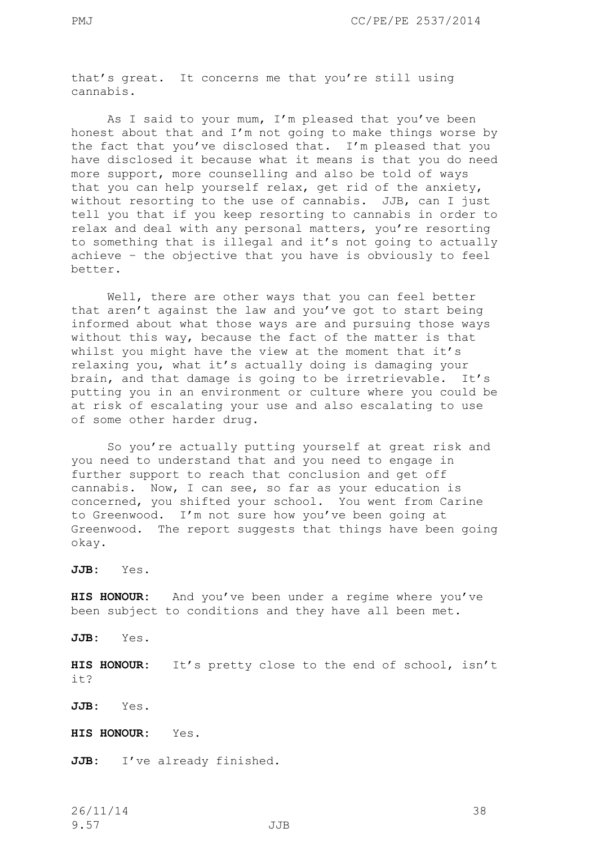that's great. It concerns me that you're still using cannabis.

As I said to your mum, I'm pleased that you've been honest about that and I'm not going to make things worse by the fact that you've disclosed that. I'm pleased that you have disclosed it because what it means is that you do need more support, more counselling and also be told of ways that you can help yourself relax, get rid of the anxiety, without resorting to the use of cannabis. JJB, can I just tell you that if you keep resorting to cannabis in order to relax and deal with any personal matters, you're resorting to something that is illegal and it's not going to actually achieve – the objective that you have is obviously to feel better.

Well, there are other ways that you can feel better that aren't against the law and you've got to start being informed about what those ways are and pursuing those ways without this way, because the fact of the matter is that whilst you might have the view at the moment that it's relaxing you, what it's actually doing is damaging your brain, and that damage is going to be irretrievable. It's putting you in an environment or culture where you could be at risk of escalating your use and also escalating to use of some other harder drug.

So you're actually putting yourself at great risk and you need to understand that and you need to engage in further support to reach that conclusion and get off cannabis. Now, I can see, so far as your education is concerned, you shifted your school. You went from Carine to Greenwood. I'm not sure how you've been going at Greenwood. The report suggests that things have been going okay.

**JJB:** Yes.

**HIS HONOUR:** And you've been under a regime where you've been subject to conditions and they have all been met.

**JJB:** Yes.

**HIS HONOUR:** It's pretty close to the end of school, isn't it?

**JJB:** Yes.

**HIS HONOUR:** Yes.

**JJB:** I've already finished.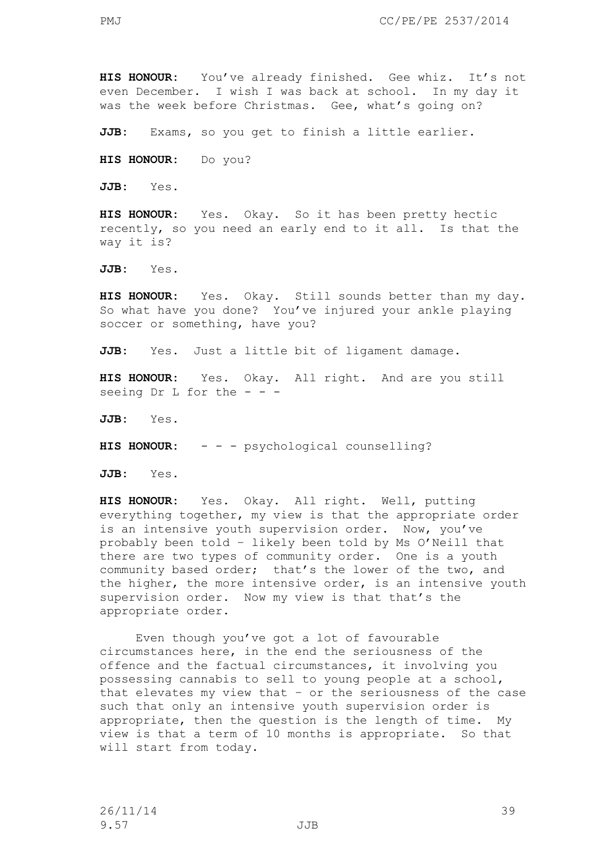**HIS HONOUR:** You've already finished. Gee whiz. It's not even December. I wish I was back at school. In my day it was the week before Christmas. Gee, what's going on?

**JJB:** Exams, so you get to finish a little earlier.

**HIS HONOUR:** Do you?

**JJB:** Yes.

**HIS HONOUR:** Yes. Okay. So it has been pretty hectic recently, so you need an early end to it all. Is that the way it is?

**JJB:** Yes.

**HIS HONOUR:** Yes. Okay. Still sounds better than my day. So what have you done? You've injured your ankle playing soccer or something, have you?

**JJB:** Yes. Just a little bit of ligament damage.

**HIS HONOUR:** Yes. Okay. All right. And are you still seeing Dr L for the  $- -$ 

**JJB:** Yes.

**HIS HONOUR:** - - - psychological counselling?

**JJB:** Yes.

**HIS HONOUR:** Yes. Okay. All right. Well, putting everything together, my view is that the appropriate order is an intensive youth supervision order. Now, you've probably been told – likely been told by Ms O'Neill that there are two types of community order. One is a youth community based order; that's the lower of the two, and the higher, the more intensive order, is an intensive youth supervision order. Now my view is that that's the appropriate order.

Even though you've got a lot of favourable circumstances here, in the end the seriousness of the offence and the factual circumstances, it involving you possessing cannabis to sell to young people at a school, that elevates my view that – or the seriousness of the case such that only an intensive youth supervision order is appropriate, then the question is the length of time. My view is that a term of 10 months is appropriate. So that will start from today.

26/11/14 39 9.57 JJB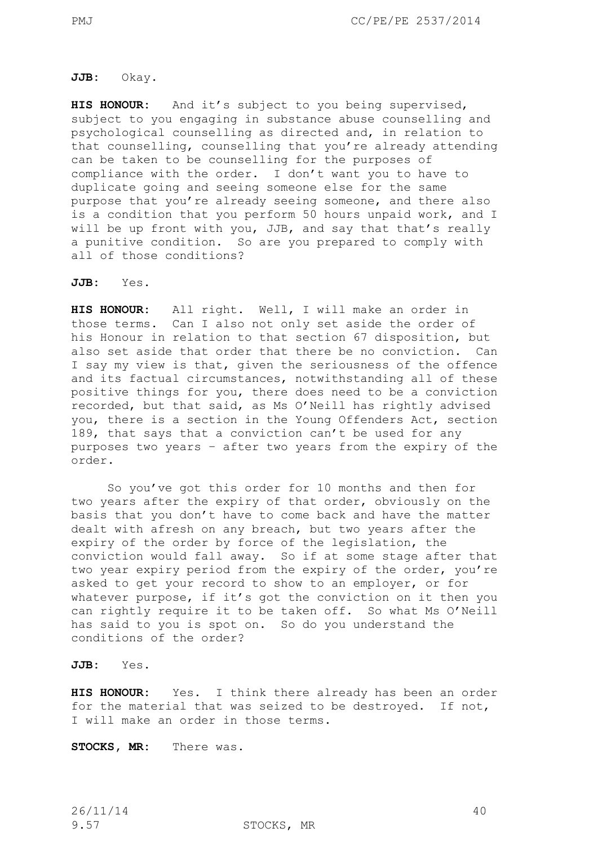#### **JJB:** Okay.

**HIS HONOUR:** And it's subject to you being supervised, subject to you engaging in substance abuse counselling and psychological counselling as directed and, in relation to that counselling, counselling that you're already attending can be taken to be counselling for the purposes of compliance with the order. I don't want you to have to duplicate going and seeing someone else for the same purpose that you're already seeing someone, and there also is a condition that you perform 50 hours unpaid work, and I will be up front with you, JJB, and say that that's really a punitive condition. So are you prepared to comply with all of those conditions?

## **JJB:** Yes.

**HIS HONOUR:** All right. Well, I will make an order in those terms. Can I also not only set aside the order of his Honour in relation to that section 67 disposition, but also set aside that order that there be no conviction. Can I say my view is that, given the seriousness of the offence and its factual circumstances, notwithstanding all of these positive things for you, there does need to be a conviction recorded, but that said, as Ms O'Neill has rightly advised you, there is a section in the Young Offenders Act, section 189, that says that a conviction can't be used for any purposes two years – after two years from the expiry of the order.

So you've got this order for 10 months and then for two years after the expiry of that order, obviously on the basis that you don't have to come back and have the matter dealt with afresh on any breach, but two years after the expiry of the order by force of the legislation, the conviction would fall away. So if at some stage after that two year expiry period from the expiry of the order, you're asked to get your record to show to an employer, or for whatever purpose, if it's got the conviction on it then you can rightly require it to be taken off. So what Ms O'Neill has said to you is spot on. So do you understand the conditions of the order?

## **JJB:** Yes.

**HIS HONOUR:** Yes. I think there already has been an order for the material that was seized to be destroyed. If not, I will make an order in those terms.

**STOCKS, MR:** There was.

9.57 STOCKS, MR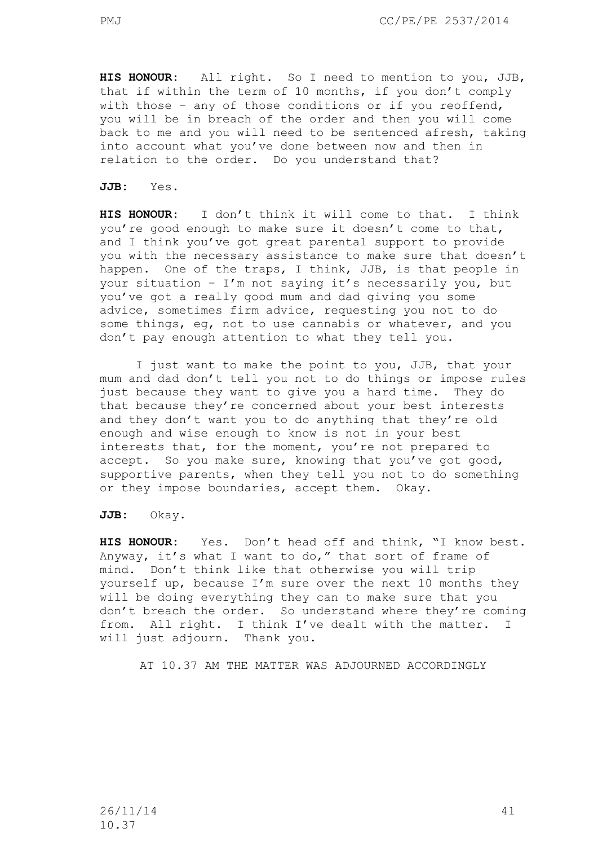**HIS HONOUR:** All right. So I need to mention to you, JJB, that if within the term of 10 months, if you don't comply with those - any of those conditions or if you reoffend, you will be in breach of the order and then you will come back to me and you will need to be sentenced afresh, taking into account what you've done between now and then in relation to the order. Do you understand that?

**JJB:** Yes.

**HIS HONOUR:** I don't think it will come to that. I think you're good enough to make sure it doesn't come to that, and I think you've got great parental support to provide you with the necessary assistance to make sure that doesn't happen. One of the traps, I think, JJB, is that people in your situation – I'm not saying it's necessarily you, but you've got a really good mum and dad giving you some advice, sometimes firm advice, requesting you not to do some things, eg, not to use cannabis or whatever, and you don't pay enough attention to what they tell you.

I just want to make the point to you, JJB, that your mum and dad don't tell you not to do things or impose rules just because they want to give you a hard time. They do that because they're concerned about your best interests and they don't want you to do anything that they're old enough and wise enough to know is not in your best interests that, for the moment, you're not prepared to accept. So you make sure, knowing that you've got good, supportive parents, when they tell you not to do something or they impose boundaries, accept them. Okay.

**JJB:** Okay.

**HIS HONOUR:** Yes. Don't head off and think, "I know best. Anyway, it's what I want to do," that sort of frame of mind. Don't think like that otherwise you will trip yourself up, because I'm sure over the next 10 months they will be doing everything they can to make sure that you don't breach the order. So understand where they're coming from. All right. I think I've dealt with the matter. I will just adjourn. Thank you.

AT 10.37 AM THE MATTER WAS ADJOURNED ACCORDINGLY